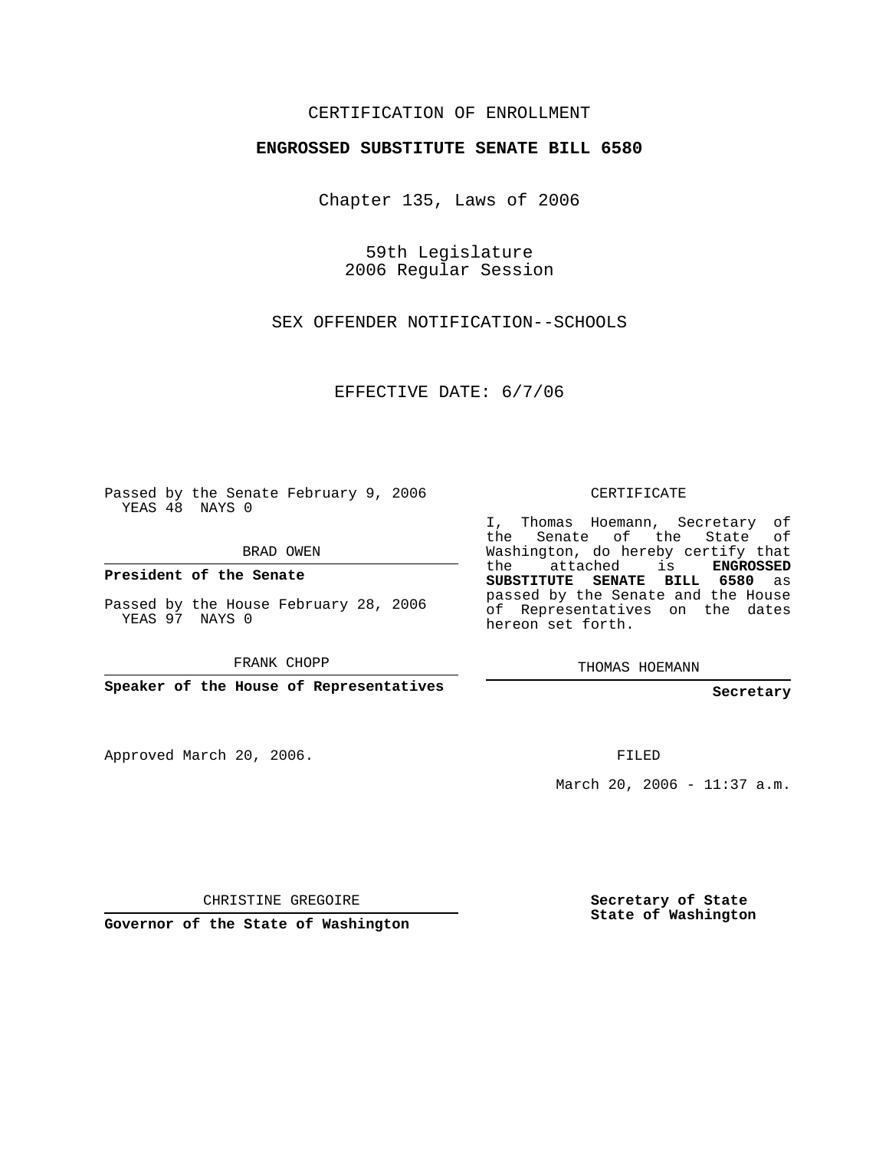## CERTIFICATION OF ENROLLMENT

## **ENGROSSED SUBSTITUTE SENATE BILL 6580**

Chapter 135, Laws of 2006

59th Legislature 2006 Regular Session

SEX OFFENDER NOTIFICATION--SCHOOLS

EFFECTIVE DATE: 6/7/06

Passed by the Senate February 9, 2006 YEAS 48 NAYS 0

BRAD OWEN

**President of the Senate**

Passed by the House February 28, 2006 YEAS 97 NAYS 0

FRANK CHOPP

**Speaker of the House of Representatives**

Approved March 20, 2006.

CERTIFICATE

I, Thomas Hoemann, Secretary of the Senate of the State of Washington, do hereby certify that the attached is **ENGROSSED SUBSTITUTE SENATE BILL 6580** as passed by the Senate and the House of Representatives on the dates hereon set forth.

THOMAS HOEMANN

**Secretary**

FILED

March 20, 2006 - 11:37 a.m.

CHRISTINE GREGOIRE

**Governor of the State of Washington**

**Secretary of State State of Washington**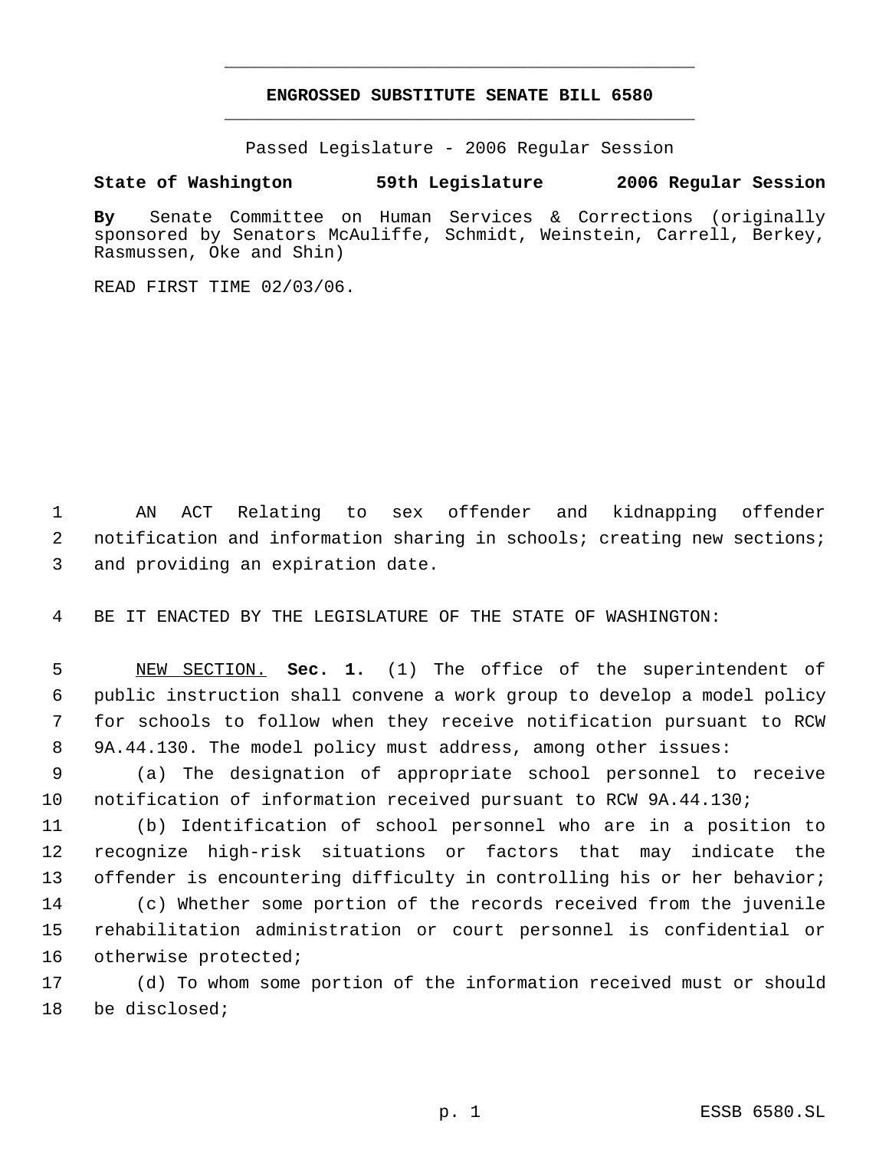## **ENGROSSED SUBSTITUTE SENATE BILL 6580** \_\_\_\_\_\_\_\_\_\_\_\_\_\_\_\_\_\_\_\_\_\_\_\_\_\_\_\_\_\_\_\_\_\_\_\_\_\_\_\_\_\_\_\_\_

\_\_\_\_\_\_\_\_\_\_\_\_\_\_\_\_\_\_\_\_\_\_\_\_\_\_\_\_\_\_\_\_\_\_\_\_\_\_\_\_\_\_\_\_\_

Passed Legislature - 2006 Regular Session

## **State of Washington 59th Legislature 2006 Regular Session**

**By** Senate Committee on Human Services & Corrections (originally sponsored by Senators McAuliffe, Schmidt, Weinstein, Carrell, Berkey, Rasmussen, Oke and Shin)

READ FIRST TIME 02/03/06.

 AN ACT Relating to sex offender and kidnapping offender notification and information sharing in schools; creating new sections; and providing an expiration date.

BE IT ENACTED BY THE LEGISLATURE OF THE STATE OF WASHINGTON:

 NEW SECTION. **Sec. 1.** (1) The office of the superintendent of public instruction shall convene a work group to develop a model policy for schools to follow when they receive notification pursuant to RCW 9A.44.130. The model policy must address, among other issues:

 (a) The designation of appropriate school personnel to receive notification of information received pursuant to RCW 9A.44.130;

 (b) Identification of school personnel who are in a position to recognize high-risk situations or factors that may indicate the 13 offender is encountering difficulty in controlling his or her behavior; (c) Whether some portion of the records received from the juvenile rehabilitation administration or court personnel is confidential or otherwise protected;

 (d) To whom some portion of the information received must or should be disclosed;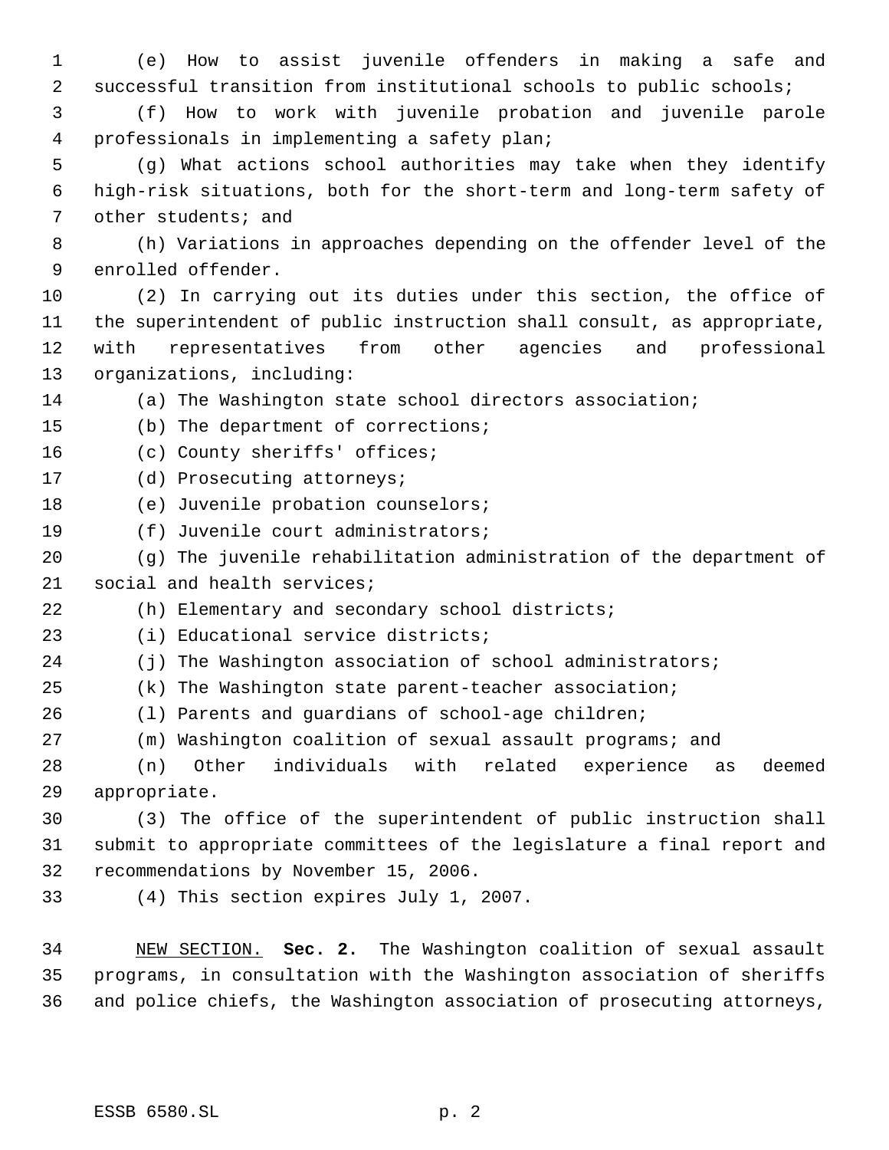(e) How to assist juvenile offenders in making a safe and successful transition from institutional schools to public schools; (f) How to work with juvenile probation and juvenile parole professionals in implementing a safety plan; (g) What actions school authorities may take when they identify high-risk situations, both for the short-term and long-term safety of other students; and (h) Variations in approaches depending on the offender level of the enrolled offender. (2) In carrying out its duties under this section, the office of the superintendent of public instruction shall consult, as appropriate, with representatives from other agencies and professional organizations, including: (a) The Washington state school directors association; (b) The department of corrections; 16 (c) County sheriffs' offices; (d) Prosecuting attorneys; 18 (e) Juvenile probation counselors; (f) Juvenile court administrators; (g) The juvenile rehabilitation administration of the department of social and health services; (h) Elementary and secondary school districts; (i) Educational service districts; (j) The Washington association of school administrators; (k) The Washington state parent-teacher association; (l) Parents and guardians of school-age children; (m) Washington coalition of sexual assault programs; and (n) Other individuals with related experience as deemed appropriate. (3) The office of the superintendent of public instruction shall submit to appropriate committees of the legislature a final report and recommendations by November 15, 2006. (4) This section expires July 1, 2007. NEW SECTION. **Sec. 2.** The Washington coalition of sexual assault programs, in consultation with the Washington association of sheriffs

and police chiefs, the Washington association of prosecuting attorneys,